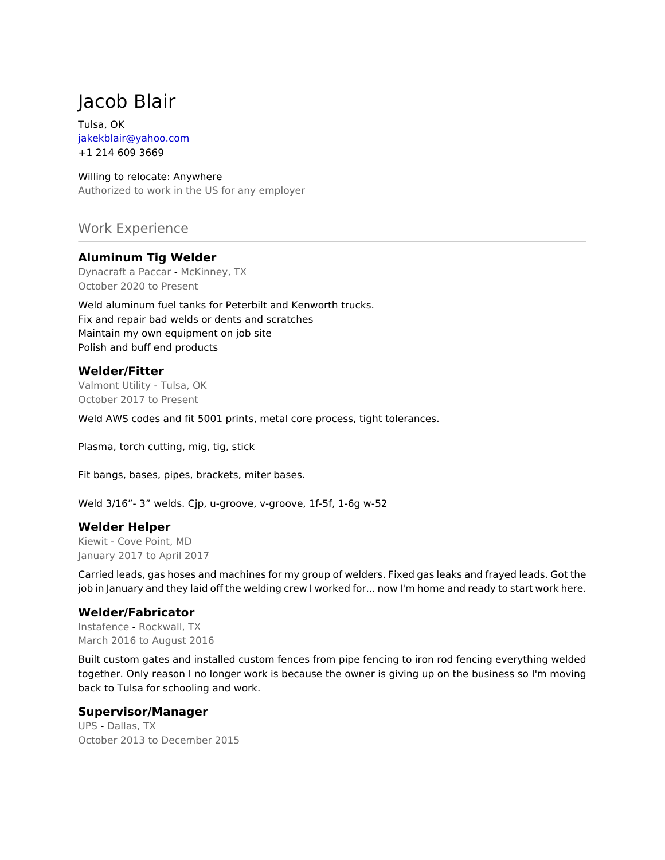# Jacob Blair

Tulsa, OK jakekblair@yahoo.com +1 214 609 3669

#### Willing to relocate: Anywhere Authorized to work in the US for any employer

## Work Experience

## **Aluminum Tig Welder**

Dynacraft a Paccar - McKinney, TX October 2020 to Present

Weld aluminum fuel tanks for Peterbilt and Kenworth trucks. Fix and repair bad welds or dents and scratches Maintain my own equipment on job site Polish and buff end products

## **Welder/Fitter**

Valmont Utility - Tulsa, OK October 2017 to Present

Weld AWS codes and fit 5001 prints, metal core process, tight tolerances.

Plasma, torch cutting, mig, tig, stick

Fit bangs, bases, pipes, brackets, miter bases.

Weld 3/16"- 3" welds. Cjp, u-groove, v-groove, 1f-5f, 1-6g w-52

## **Welder Helper**

Kiewit - Cove Point, MD January 2017 to April 2017

Carried leads, gas hoses and machines for my group of welders. Fixed gas leaks and frayed leads. Got the job in January and they laid off the welding crew I worked for... now I'm home and ready to start work here.

## **Welder/Fabricator**

Instafence - Rockwall, TX March 2016 to August 2016

Built custom gates and installed custom fences from pipe fencing to iron rod fencing everything welded together. Only reason I no longer work is because the owner is giving up on the business so I'm moving back to Tulsa for schooling and work.

#### **Supervisor/Manager**

UPS - Dallas, TX October 2013 to December 2015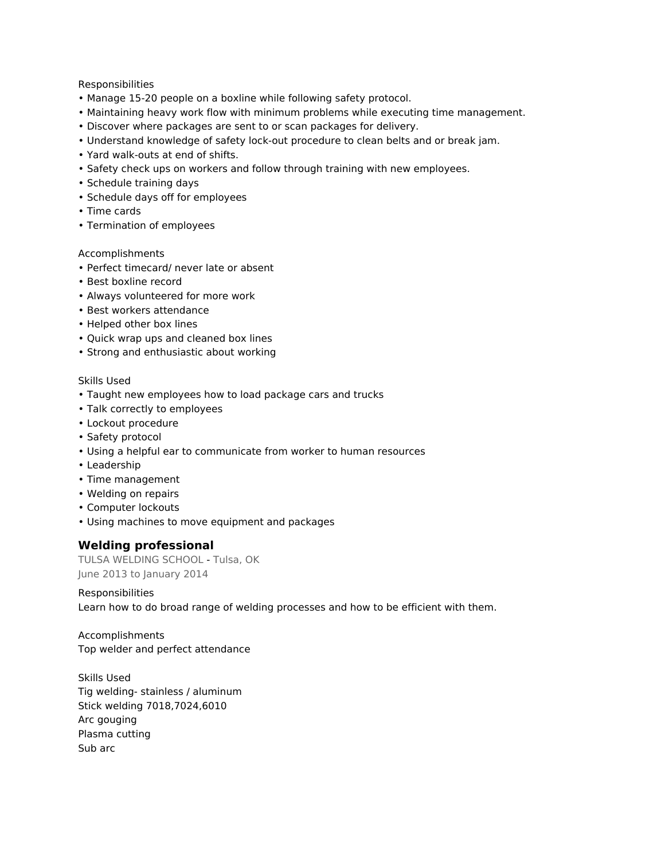#### Responsibilities

- Manage 15-20 people on a boxline while following safety protocol.
- Maintaining heavy work flow with minimum problems while executing time management.
- Discover where packages are sent to or scan packages for delivery.
- Understand knowledge of safety lock-out procedure to clean belts and or break jam.
- Yard walk-outs at end of shifts.
- Safety check ups on workers and follow through training with new employees.
- Schedule training days
- Schedule days off for employees
- Time cards
- Termination of employees

#### Accomplishments

- Perfect timecard/ never late or absent
- Best boxline record
- Always volunteered for more work
- Best workers attendance
- Helped other box lines
- Quick wrap ups and cleaned box lines
- Strong and enthusiastic about working

#### Skills Used

- Taught new employees how to load package cars and trucks
- Talk correctly to employees
- Lockout procedure
- Safety protocol
- Using a helpful ear to communicate from worker to human resources
- Leadership
- Time management
- Welding on repairs
- Computer lockouts
- Using machines to move equipment and packages

## **Welding professional**

TULSA WELDING SCHOOL - Tulsa, OK June 2013 to January 2014

Responsibilities Learn how to do broad range of welding processes and how to be efficient with them.

Accomplishments Top welder and perfect attendance

Skills Used Tig welding- stainless / aluminum Stick welding 7018,7024,6010 Arc gouging Plasma cutting Sub arc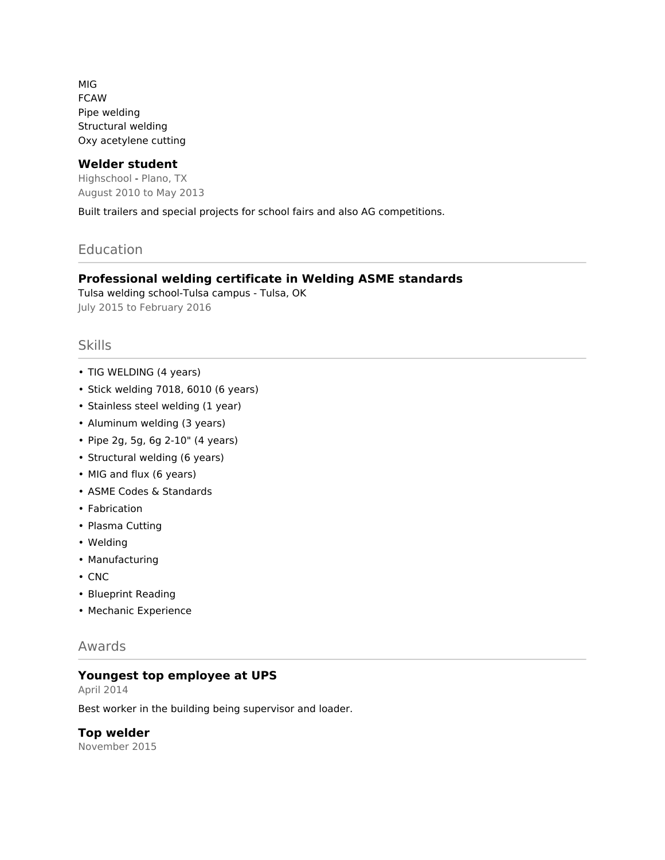MIG FCAW Pipe welding Structural welding Oxy acetylene cutting

#### **Welder student**

Highschool - Plano, TX August 2010 to May 2013

Built trailers and special projects for school fairs and also AG competitions.

## **Education**

#### **Professional welding certificate in Welding ASME standards**

Tulsa welding school-Tulsa campus - Tulsa, OK July 2015 to February 2016

### Skills

- TIG WELDING (4 years)
- Stick welding 7018, 6010 (6 years)
- Stainless steel welding (1 year)
- Aluminum welding (3 years)
- Pipe 2g, 5g, 6g 2-10" (4 years)
- Structural welding (6 years)
- MIG and flux (6 years)
- ASME Codes & Standards
- Fabrication
- Plasma Cutting
- Welding
- Manufacturing
- CNC
- Blueprint Reading
- Mechanic Experience

#### Awards

#### **Youngest top employee at UPS**

April 2014

Best worker in the building being supervisor and loader.

#### **Top welder**

November 2015